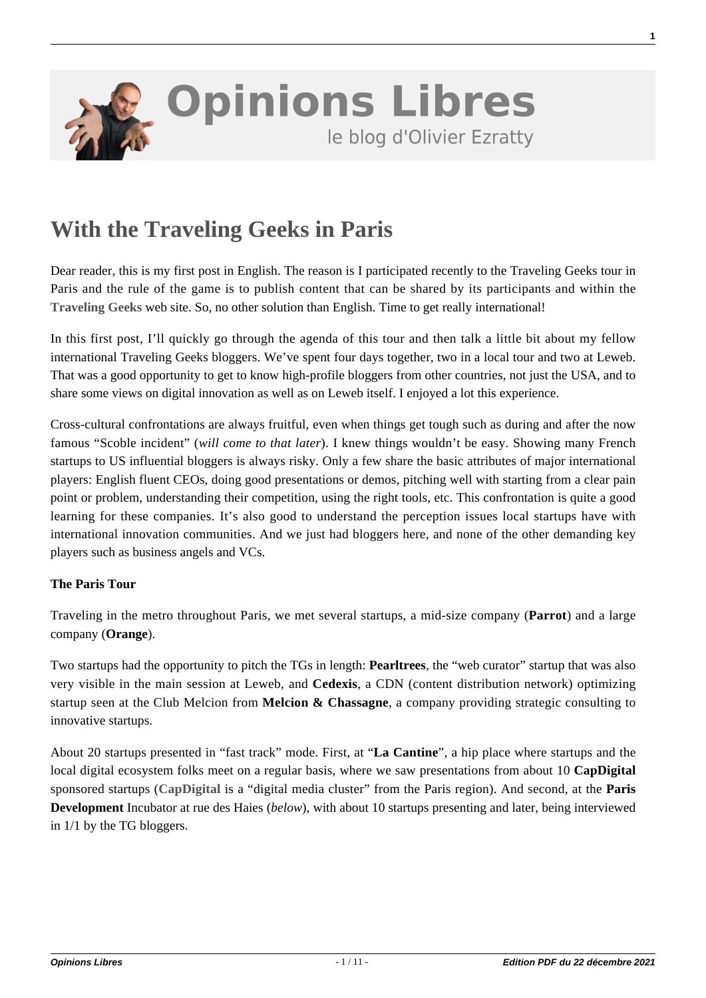

## **[With the Traveling Geeks in Paris](https://www.oezratty.net/wordpress/2009/with-the-traveling-geeks-in-paris-12/)**

Dear reader, this is my first post in English. The reason is I participated recently to the Traveling Geeks tour in Paris and the rule of the game is to publish content that can be shared by its participants and within the **[Traveling Geeks](http://travelinggeeks.com/)** web site. So, no other solution than English. Time to get really international!

In this first post, I'll quickly go through the agenda of this tour and then talk a little bit about my fellow international Traveling Geeks bloggers. We've spent four days together, two in a local tour and two at Leweb. That was a good opportunity to get to know high-profile bloggers from other countries, not just the USA, and to share some views on digital innovation as well as on Leweb itself. I enjoyed a lot this experience.

Cross-cultural confrontations are always fruitful, even when things get tough such as during and after the now famous "Scoble incident" (*will come to that later*). I knew things wouldn't be easy. Showing many French startups to US influential bloggers is always risky. Only a few share the basic attributes of major international players: English fluent CEOs, doing good presentations or demos, pitching well with starting from a clear pain point or problem, understanding their competition, using the right tools, etc. This confrontation is quite a good learning for these companies. It's also good to understand the perception issues local startups have with international innovation communities. And we just had bloggers here, and none of the other demanding key players such as business angels and VCs.

## **The Paris Tour**

Traveling in the metro throughout Paris, we met several startups, a mid-size company (**Parrot**) and a large company (**Orange**).

Two startups had the opportunity to pitch the TGs in length: **Pearltrees**, the "web curator" startup that was also very visible in the main session at Leweb, and **Cedexis**, a CDN (content distribution network) optimizing startup seen at the Club Melcion from **Melcion & Chassagne**, a company providing strategic consulting to innovative startups.

About 20 startups presented in "fast track" mode. First, at "**La Cantine**", a hip place where startups and the local digital ecosystem folks meet on a regular basis, where we saw presentations from about 10 **CapDigital** sponsored startups (**[CapDigital](http://www.capdigital.com/)** is a "digital media cluster" from the Paris region). And second, at the **Paris Development** Incubator at rue des Haies (*below*), with about 10 startups presenting and later, being interviewed in 1/1 by the TG bloggers.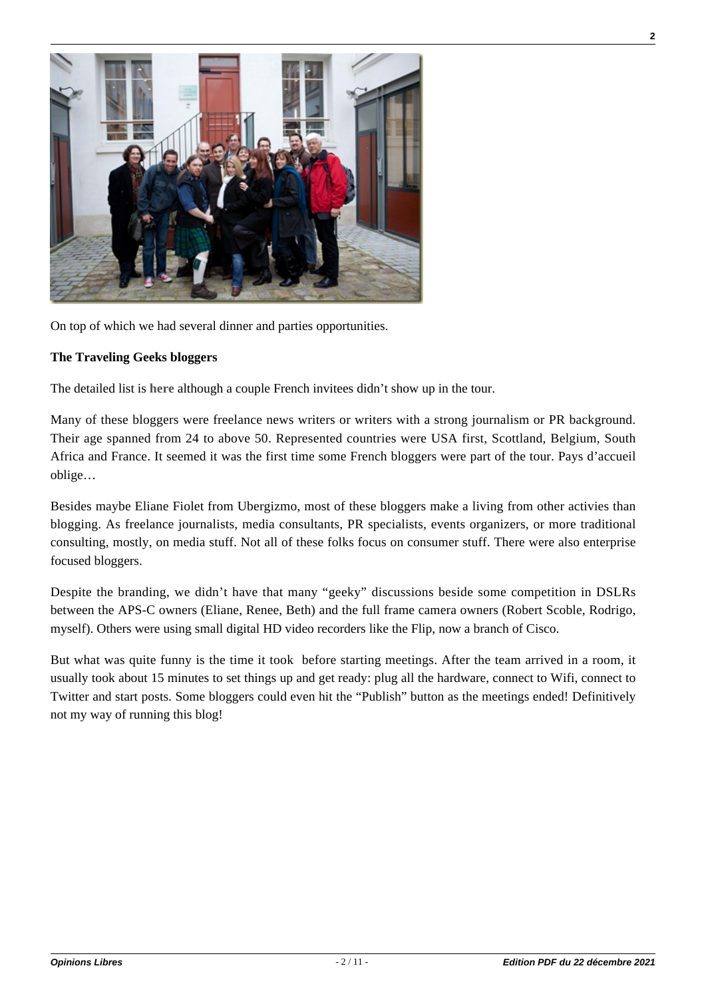

On top of which we had several dinner and parties opportunities.

## **The Traveling Geeks bloggers**

The detailed list is **[here](http://travelinggeeks.com/geeks/)** although a couple French invitees didn't show up in the tour.

Many of these bloggers were freelance news writers or writers with a strong journalism or PR background. Their age spanned from 24 to above 50. Represented countries were USA first, Scottland, Belgium, South Africa and France. It seemed it was the first time some French bloggers were part of the tour. Pays d'accueil oblige…

Besides maybe Eliane Fiolet from Ubergizmo, most of these bloggers make a living from other activies than blogging. As freelance journalists, media consultants, PR specialists, events organizers, or more traditional consulting, mostly, on media stuff. Not all of these folks focus on consumer stuff. There were also enterprise focused bloggers.

Despite the branding, we didn't have that many "geeky" discussions beside some competition in DSLRs between the APS-C owners (Eliane, Renee, Beth) and the full frame camera owners (Robert Scoble, Rodrigo, myself). Others were using small digital HD video recorders like the Flip, now a branch of Cisco.

But what was quite funny is the time it took before starting meetings. After the team arrived in a room, it usually took about 15 minutes to set things up and get ready: plug all the hardware, connect to Wifi, connect to Twitter and start posts. Some bloggers could even hit the "Publish" button as the meetings ended! Definitively not my way of running this blog!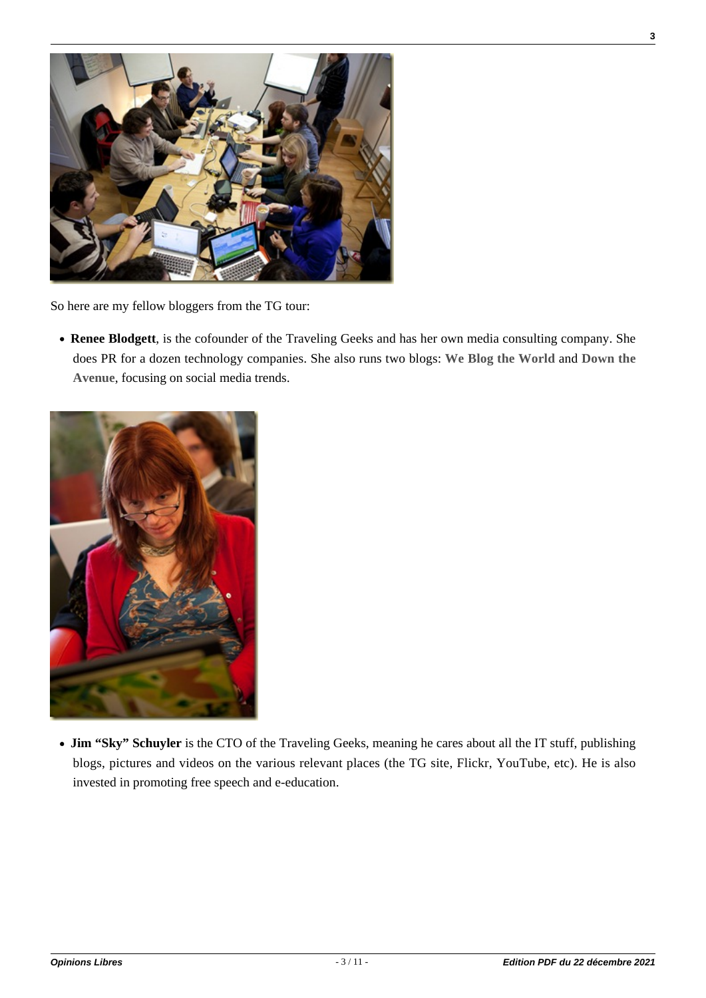

So here are my fellow bloggers from the TG tour:

**Renee Blodgett**, is the cofounder of the Traveling Geeks and has her own media consulting company. She does PR for a dozen technology companies. She also runs two blogs: **[We Blog the World](http://www.weblogtheworld.com)** and **[Down the](http://www.downtheavenue.com) [Avenue](http://www.downtheavenue.com)**, focusing on social media trends.



• **Jim "Sky" Schuyler** is the CTO of the Traveling Geeks, meaning he cares about all the IT stuff, publishing blogs, pictures and videos on the various relevant places (the TG site, Flickr, YouTube, etc). He is also invested in promoting free speech and e-education.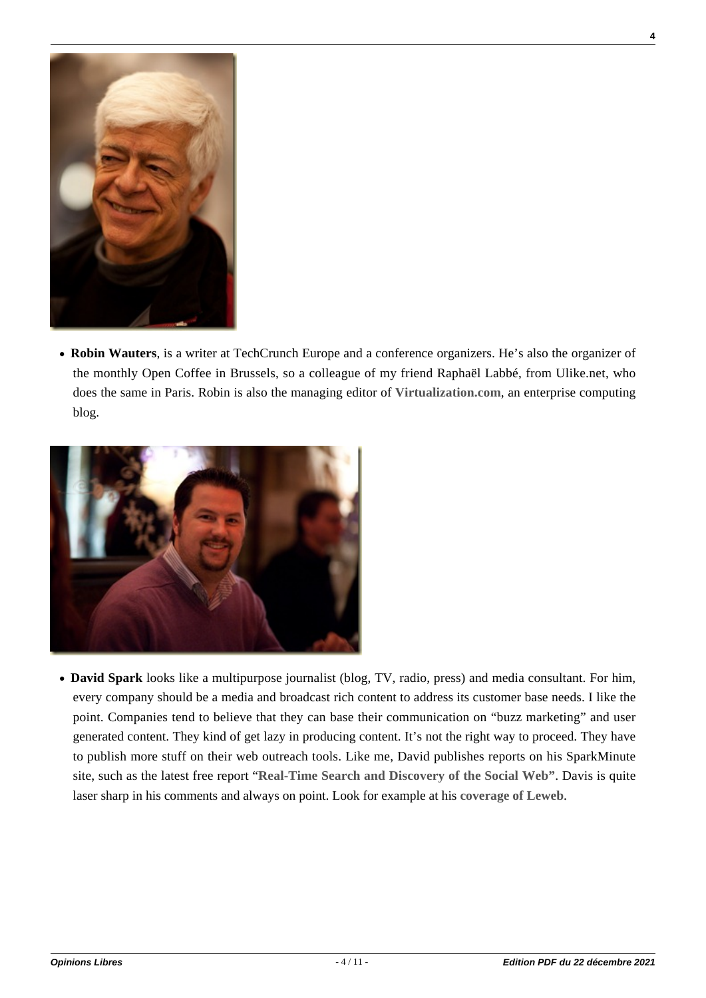

**Robin Wauters**, is a writer at TechCrunch Europe and a conference organizers. He's also the organizer of the monthly Open Coffee in Brussels, so a colleague of my friend Raphaël Labbé, from Ulike.net, who does the same in Paris. Robin is also the managing editor of **[Virtualization.com](http://virtualization.com/)**, an enterprise computing blog.



**David Spark** looks like a multipurpose journalist (blog, TV, radio, press) and media consultant. For him, every company should be a media and broadcast rich content to address its customer base needs. I like the point. Companies tend to believe that they can base their communication on "buzz marketing" and user generated content. They kind of get lazy in producing content. It's not the right way to proceed. They have to publish more stuff on their web outreach tools. Like me, David publishes reports on his SparkMinute site, such as the latest free report "**[Real-Time Search and Discovery of the Social Web"](http://www.sparkminute.com/?p=1261)**. Davis is quite laser sharp in his comments and always on point. Look for example at his **[coverage of Leweb](http://www.sparkminute.com/?p=1301)**.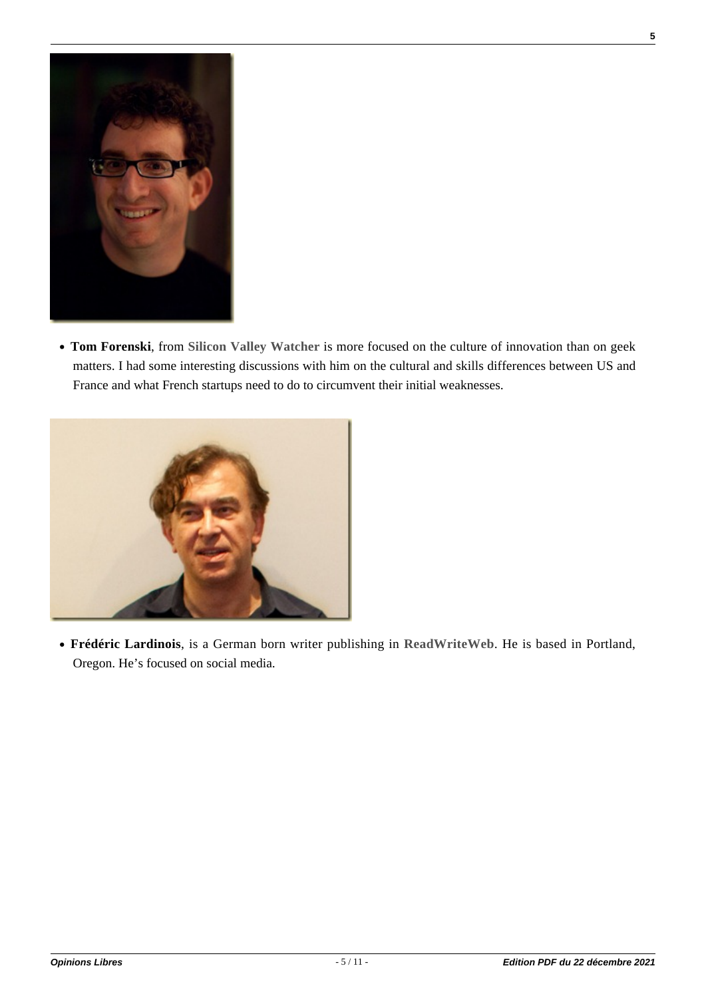

**Tom Forenski**, from **[Silicon Valley Watcher](http://www.siliconvalleywatcher.com)** is more focused on the culture of innovation than on geek matters. I had some interesting discussions with him on the cultural and skills differences between US and France and what French startups need to do to circumvent their initial weaknesses.



**Frédéric Lardinois**, is a German born writer publishing in **[ReadWriteWeb](http://www.readwriteweb.com/)**. He is based in Portland, Oregon. He's focused on social media.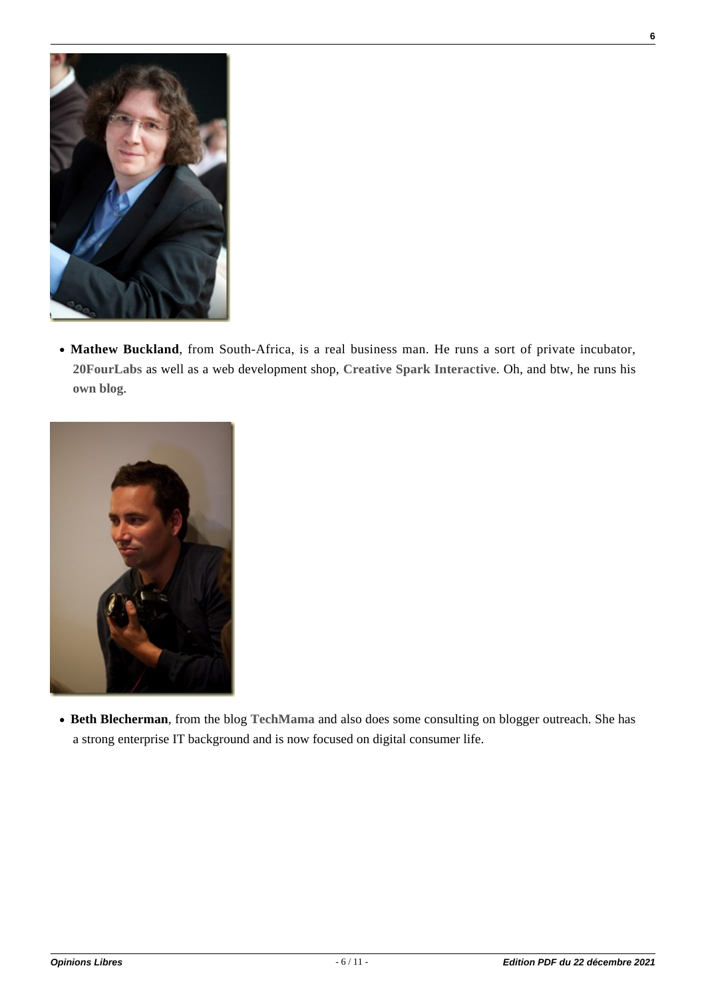

**Mathew Buckland**, from South-Africa, is a real business man. He runs a sort of private incubator, **[20FourLabs](http://20fourlabs.com/about/)** as well as a web development shop, **[Creative Spark Interactive](http://www.creativespark.co.za/)**. Oh, and btw, he runs his **[own blog](http://www.matthewbuckland.com/)**.



**Beth Blecherman**, from the blog **[TechMama](http://www.techmamas.com/)** and also does some consulting on blogger outreach. She has a strong enterprise IT background and is now focused on digital consumer life.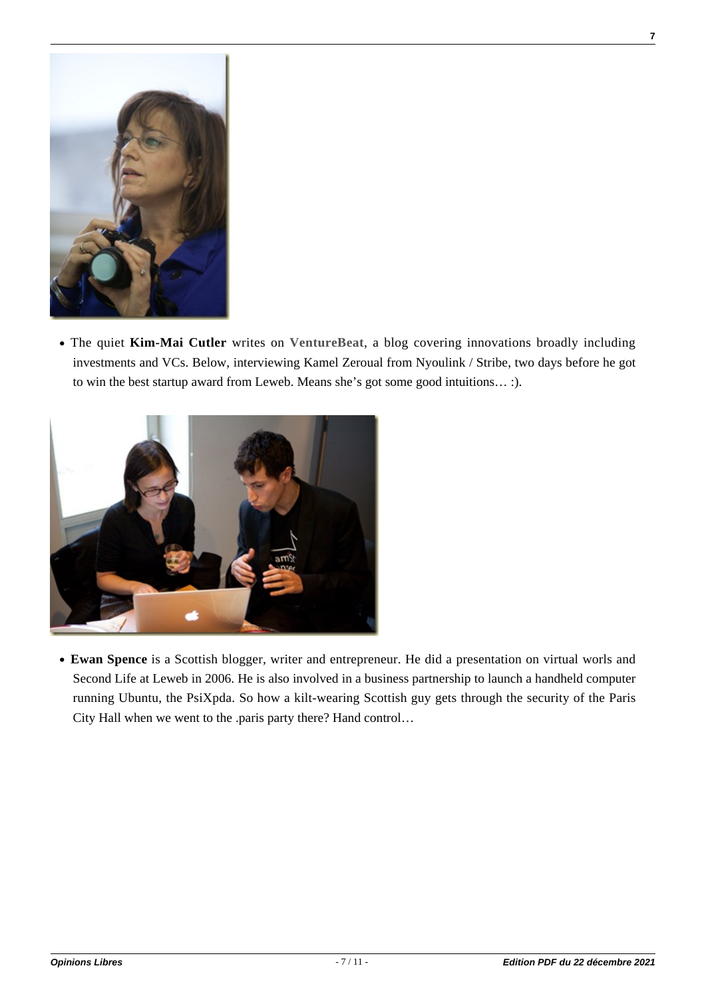

The quiet **Kim-Mai Cutler** writes on **[VentureBeat](http://www.venturebeat.com/)**, a blog covering innovations broadly including investments and VCs. Below, interviewing Kamel Zeroual from Nyoulink / Stribe, two days before he got to win the best startup award from Leweb. Means she's got some good intuitions… :).



**Ewan Spence** is a Scottish blogger, writer and entrepreneur. He did a presentation on virtual worls and Second Life at Leweb in 2006. He is also involved in a business partnership to launch a handheld computer running Ubuntu, the PsiXpda. So how a kilt-wearing Scottish guy gets through the security of the Paris City Hall when we went to the .paris party there? Hand control…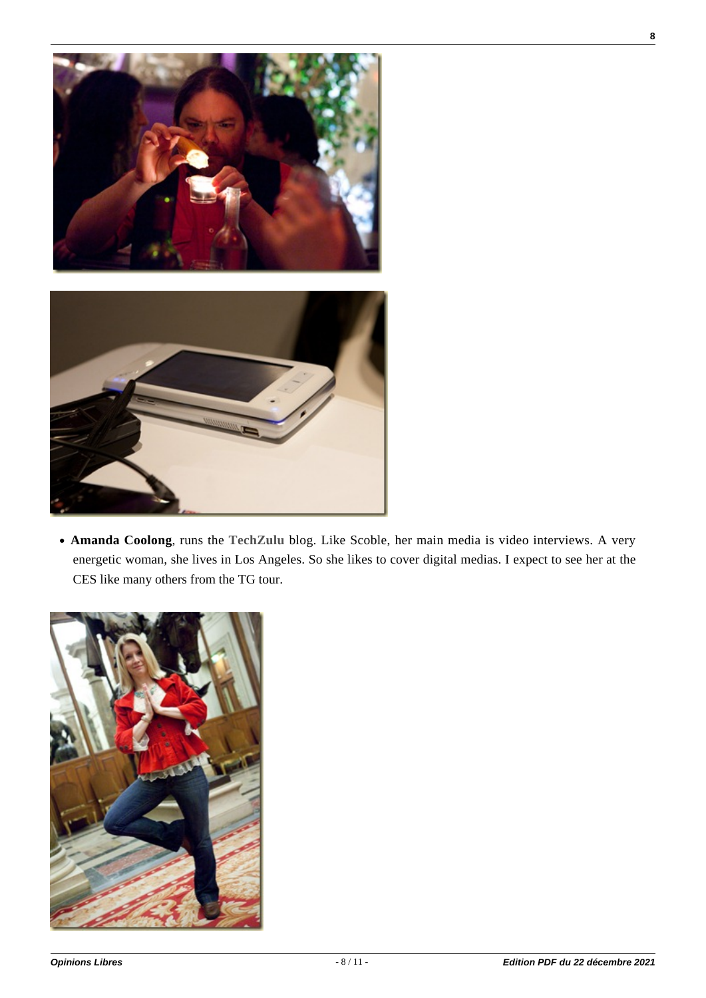

**Amanda Coolong**, runs the **[TechZulu](http://www.techzulu.com/)** blog. Like Scoble, her main media is video interviews. A very energetic woman, she lives in Los Angeles. So she likes to cover digital medias. I expect to see her at the CES like many others from the TG tour.

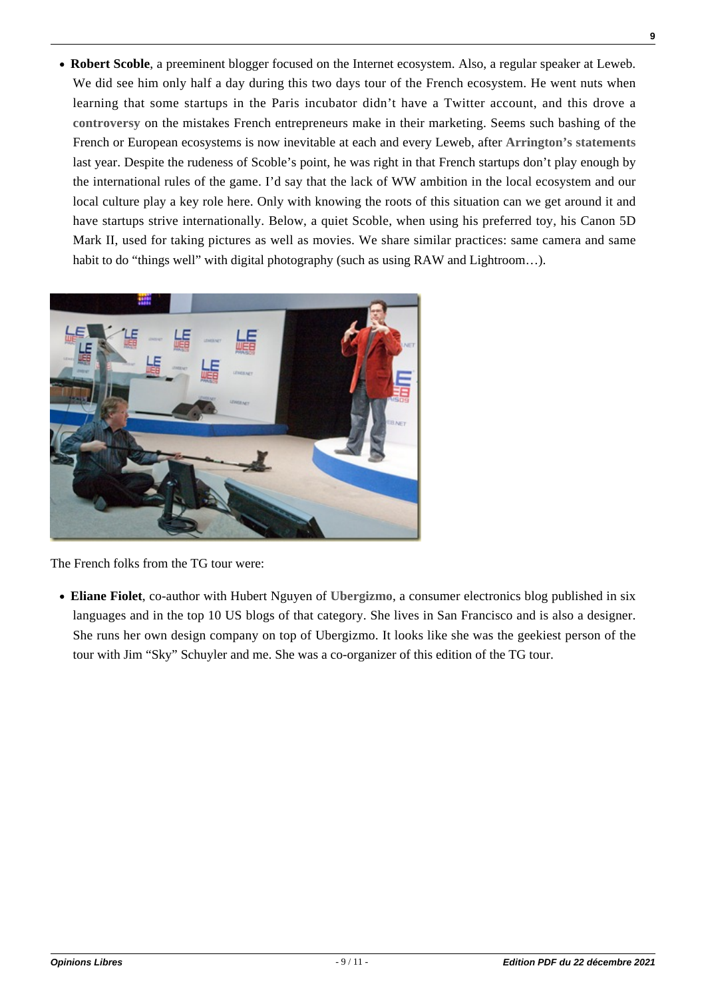**Robert Scoble**, a preeminent blogger focused on the Internet ecosystem. Also, a regular speaker at Leweb. We did see him only half a day during this two days tour of the French ecosystem. He went nuts when learning that some startups in the Paris incubator didn't have a Twitter account, and this drove a **[controversy](http://scobleizer.com/2009/12/10/world-brand-building-mistakes-frances-entrepreneurs-make/)** on the mistakes French entrepreneurs make in their marketing. Seems such bashing of the French or European ecosystems is now inevitable at each and every Leweb, after **[Arrington's statements](http://www.ustream.tv/recorded/961885)** last year. Despite the rudeness of Scoble's point, he was right in that French startups don't play enough by the international rules of the game. I'd say that the lack of WW ambition in the local ecosystem and our local culture play a key role here. Only with knowing the roots of this situation can we get around it and have startups strive internationally. Below, a quiet Scoble, when using his preferred toy, his Canon 5D Mark II, used for taking pictures as well as movies. We share similar practices: same camera and same habit to do "things well" with digital photography (such as using RAW and Lightroom...).



The French folks from the TG tour were:

**Eliane Fiolet**, co-author with Hubert Nguyen of **[Ubergizmo](http://www.ubergizmo.com/)**, a consumer electronics blog published in six languages and in the top 10 US blogs of that category. She lives in San Francisco and is also a designer. She runs her own design company on top of Ubergizmo. It looks like she was the geekiest person of the tour with Jim "Sky" Schuyler and me. She was a co-organizer of this edition of the TG tour.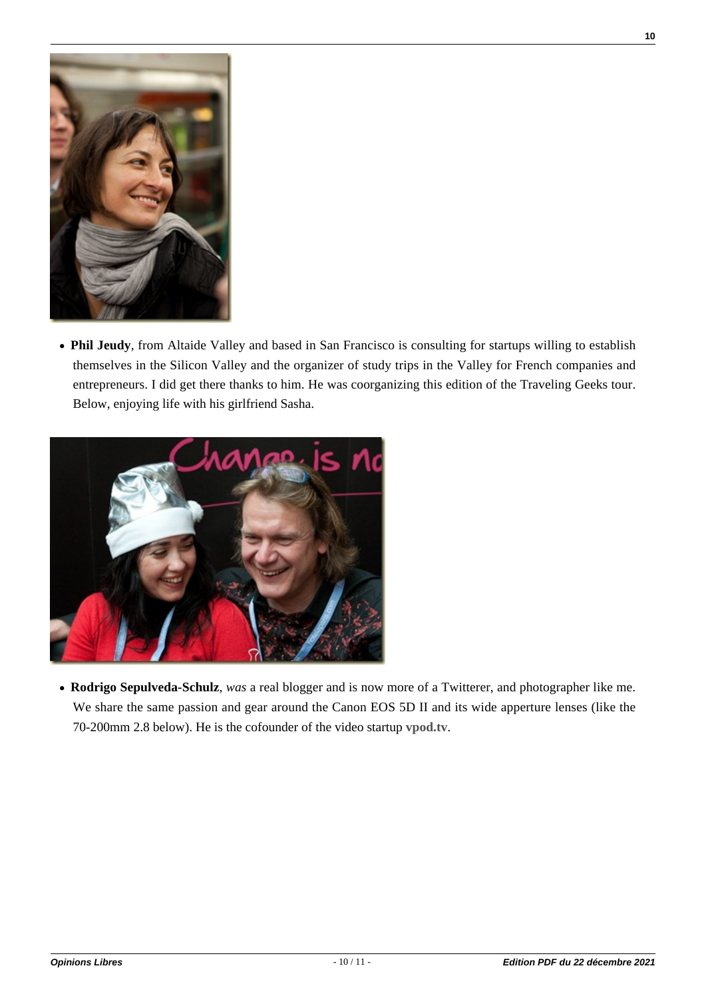

**Phil Jeudy**, from Altaide Valley and based in San Francisco is consulting for startups willing to establish themselves in the Silicon Valley and the organizer of study trips in the Valley for French companies and entrepreneurs. I did get there thanks to him. He was coorganizing this edition of the Traveling Geeks tour. Below, enjoying life with his girlfriend Sasha.



**Rodrigo Sepulveda-Schulz**, *was* a real blogger and is now more of a Twitterer, and photographer like me. We share the same passion and gear around the Canon EOS 5D II and its wide apperture lenses (like the 70-200mm 2.8 below). He is the cofounder of the video startup **[vpod.tv](http://vpod.tv/)**.